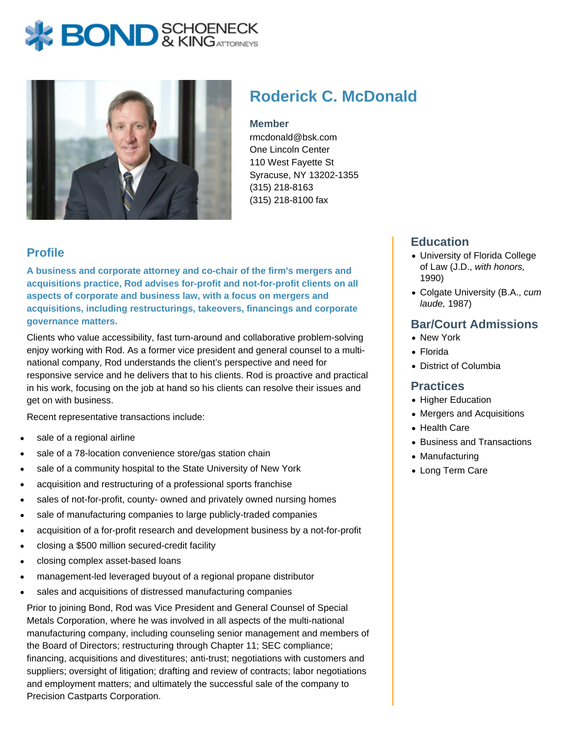# **X BOND** & KINGATTORNECK



# **Roderick C. McDonald**

#### **Member**

rmcdonald@bsk.com One Lincoln Center 110 West Fayette St Syracuse, NY 13202-1355 (315) 218-8163 (315) 218-8100 fax

## **Profile**

**A business and corporate attorney and co-chair of the firm's mergers and acquisitions practice, Rod advises for-profit and not-for-profit clients on all aspects of corporate and business law, with a focus on mergers and acquisitions, including restructurings, takeovers, financings and corporate governance matters.**

Clients who value accessibility, fast turn-around and collaborative problem-solving enjoy working with Rod. As a former vice president and general counsel to a multinational company, Rod understands the client's perspective and need for responsive service and he delivers that to his clients. Rod is proactive and practical in his work, focusing on the job at hand so his clients can resolve their issues and get on with business.

Recent representative transactions include:

- sale of a regional airline
- sale of a 78-location convenience store/gas station chain
- sale of a community hospital to the State University of New York
- acquisition and restructuring of a professional sports franchise
- sales of not-for-profit, county- owned and privately owned nursing homes
- sale of manufacturing companies to large publicly-traded companies
- acquisition of a for-profit research and development business by a not-for-profit
- closing a \$500 million secured-credit facility
- closing complex asset-based loans
- management-led leveraged buyout of a regional propane distributor
- sales and acquisitions of distressed manufacturing companies

Prior to joining Bond, Rod was Vice President and General Counsel of Special Metals Corporation, where he was involved in all aspects of the multi-national manufacturing company, including counseling senior management and members of the Board of Directors; restructuring through Chapter 11; SEC compliance; financing, acquisitions and divestitures; anti-trust; negotiations with customers and suppliers; oversight of litigation; drafting and review of contracts; labor negotiations and employment matters; and ultimately the successful sale of the company to Precision Castparts Corporation.

#### **Education**

- University of Florida College of Law (J.D., with honors, 1990)
- Colgate University (B.A., cum laude, 1987)

#### **Bar/Court Admissions**

- New York
- Florida
- District of Columbia

#### **Practices**

- Higher Education
- Mergers and Acquisitions
- Health Care
- Business and Transactions
- Manufacturing
- Long Term Care